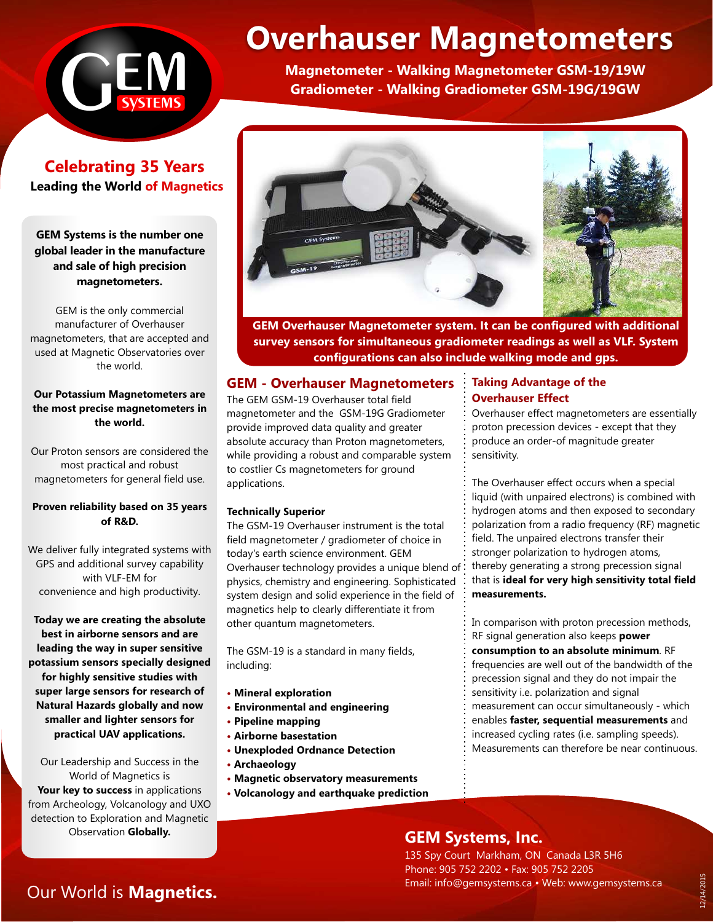

# **Celebrating 35 Years Leading the World of Magnetics**

### **GEM Systems is the number one global leader in the manufacture and sale of high precision magnetometers.**

GEM is the only commercial manufacturer of Overhauser magnetometers, that are accepted and used at Magnetic Observatories over the world.

#### **Our Potassium Magnetometers are the most precise magnetometers in the world.**

Our Proton sensors are considered the most practical and robust magnetometers for general field use.

#### **Proven reliability based on 35 years of R&D.**

We deliver fully integrated systems with GPS and additional survey capability with VLF-EM for convenience and high productivity.

**Today we are creating the absolute best in airborne sensors and are leading the way in super sensitive potassium sensors specially designed for highly sensitive studies with super large sensors for research of Natural Hazards globally and now smaller and lighter sensors for practical UAV applications.**

Our Leadership and Success in the World of Magnetics is **Your key to success** in applications from Archeology, Volcanology and UXO detection to Exploration and Magnetic Observation **Globally.**

# **Overhauser Magnetometers**

**Magnetometer - Walking Magnetometer GSM-19/19W Gradiometer - Walking Gradiometer GSM-19G/19GW**



**GEM Overhauser Magnetometer system. It can be configured with additional survey sensors for simultaneous gradiometer readings as well as VLF. System configurations can also include walking mode and gps.**

# **GEM - Overhauser Magnetometers**

The GEM GSM-19 Overhauser total field magnetometer and the GSM-19G Gradiometer provide improved data quality and greater absolute accuracy than Proton magnetometers, while providing a robust and comparable system to costlier Cs magnetometers for ground applications.

#### **Technically Superior**

The GSM-19 Overhauser instrument is the total field magnetometer / gradiometer of choice in today's earth science environment. GEM Overhauser technology provides a unique blend of physics, chemistry and engineering. Sophisticated system design and solid experience in the field of magnetics help to clearly differentiate it from other quantum magnetometers.

The GSM-19 is a standard in many fields, including:

- **Mineral exploration**
- **Environmental and engineering**
- **Pipeline mapping**
- **Airborne basestation**
- **Unexploded Ordnance Detection**
- **Archaeology**
- **Magnetic observatory measurements**
- **Volcanology and earthquake prediction**

# **Taking Advantage of the Overhauser Effect**

Overhauser effect magnetometers are essentially proton precession devices - except that they produce an order-of magnitude greater sensitivity.

The Overhauser effect occurs when a special liquid (with unpaired electrons) is combined with hydrogen atoms and then exposed to secondary polarization from a radio frequency (RF) magnetic field. The unpaired electrons transfer their stronger polarization to hydrogen atoms, thereby generating a strong precession signal that is **ideal for very high sensitivity total field measurements.**

In comparison with proton precession methods, RF signal generation also keeps **power consumption to an absolute minimum**. RF frequencies are well out of the bandwidth of the precession signal and they do not impair the sensitivity i.e. polarization and signal measurement can occur simultaneously - which enables **faster, sequential measurements** and increased cycling rates (i.e. sampling speeds). Measurements can therefore be near continuous.

# **GEM Systems, Inc.**

135 Spy Court Markham, ON Canada L3R 5H6 Phone: 905 752 2202 • Fax: 905 752 2205 Email: info@gemsystems.ca • Web: www.gemsystems.ca

# Our World is **Magnetics.**